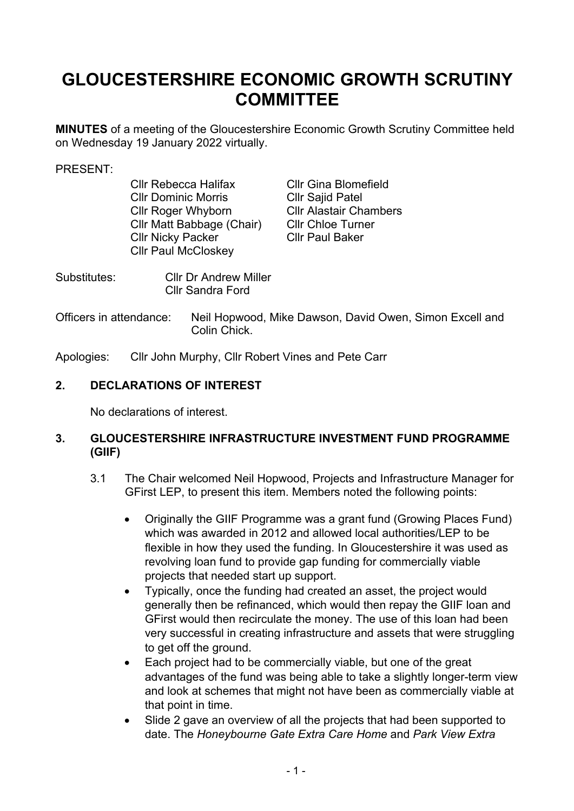# **GLOUCESTERSHIRE ECONOMIC GROWTH SCRUTINY COMMITTEE**

**MINUTES** of a meeting of the Gloucestershire Economic Growth Scrutiny Committee held on Wednesday 19 January 2022 virtually.

#### PRESENT:

| <b>CIIr Rebecca Halifax</b> | Cllr <sub>C</sub> |
|-----------------------------|-------------------|
| <b>Cllr Dominic Morris</b>  | Cllr <sub>S</sub> |
| <b>Cllr Roger Whyborn</b>   | Cllr A            |
| Cllr Matt Babbage (Chair)   | Cllr <sub>C</sub> |
| <b>Cllr Nicky Packer</b>    | Cllr P            |
| <b>Cllr Paul McCloskey</b>  |                   |
|                             |                   |

Gina Blomefield Sajid Patel **Nastair Chambers** Chloe Turner Paul Baker

| Substitutes: | <b>CIIr Dr Andrew Miller</b> |
|--------------|------------------------------|
|              | <b>Cllr Sandra Ford</b>      |

Officers in attendance: Neil Hopwood, Mike Dawson, David Owen, Simon Excell and Colin Chick.

Apologies: Cllr John Murphy, Cllr Robert Vines and Pete Carr

### **2. DECLARATIONS OF INTEREST**

No declarations of interest.

#### **3. GLOUCESTERSHIRE INFRASTRUCTURE INVESTMENT FUND PROGRAMME (GIIF)**

- 3.1 The Chair welcomed Neil Hopwood, Projects and Infrastructure Manager for GFirst LEP, to present this item. Members noted the following points:
	- Originally the GIIF Programme was a grant fund (Growing Places Fund) which was awarded in 2012 and allowed local authorities/LEP to be flexible in how they used the funding. In Gloucestershire it was used as revolving loan fund to provide gap funding for commercially viable projects that needed start up support.
	- Typically, once the funding had created an asset, the project would generally then be refinanced, which would then repay the GIIF loan and GFirst would then recirculate the money. The use of this loan had been very successful in creating infrastructure and assets that were struggling to get off the ground.
	- Each project had to be commercially viable, but one of the great advantages of the fund was being able to take a slightly longer-term view and look at schemes that might not have been as commercially viable at that point in time.
	- Slide 2 gave an overview of all the projects that had been supported to date. The *Honeybourne Gate Extra Care Home* and *Park View Extra*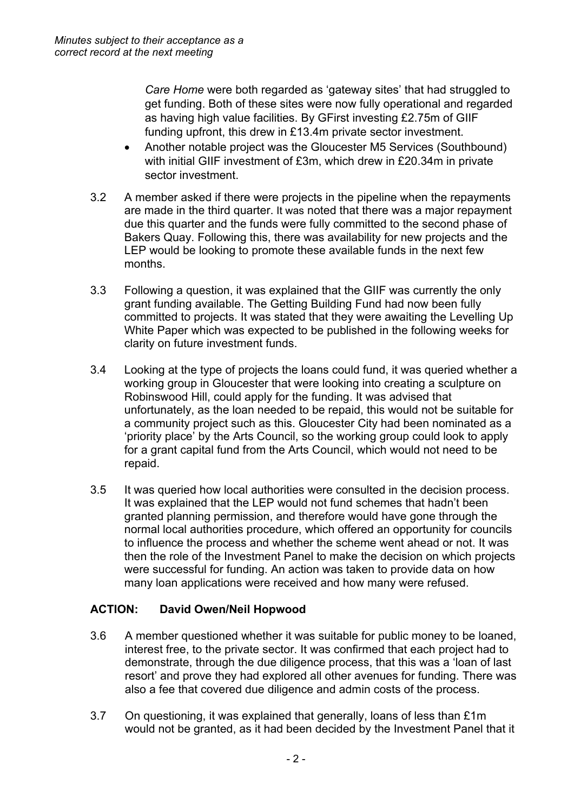*Care Home* were both regarded as 'gateway sites' that had struggled to get funding. Both of these sites were now fully operational and regarded as having high value facilities. By GFirst investing £2.75m of GIIF funding upfront, this drew in £13.4m private sector investment.

- Another notable project was the Gloucester M5 Services (Southbound) with initial GIIF investment of £3m, which drew in £20.34m in private sector investment.
- 3.2 A member asked if there were projects in the pipeline when the repayments are made in the third quarter. It was noted that there was a major repayment due this quarter and the funds were fully committed to the second phase of Bakers Quay. Following this, there was availability for new projects and the LEP would be looking to promote these available funds in the next few months.
- 3.3 Following a question, it was explained that the GIIF was currently the only grant funding available. The Getting Building Fund had now been fully committed to projects. It was stated that they were awaiting the Levelling Up White Paper which was expected to be published in the following weeks for clarity on future investment funds.
- 3.4 Looking at the type of projects the loans could fund, it was queried whether a working group in Gloucester that were looking into creating a sculpture on Robinswood Hill, could apply for the funding. It was advised that unfortunately, as the loan needed to be repaid, this would not be suitable for a community project such as this. Gloucester City had been nominated as a 'priority place' by the Arts Council, so the working group could look to apply for a grant capital fund from the Arts Council, which would not need to be repaid.
- 3.5 It was queried how local authorities were consulted in the decision process. It was explained that the LEP would not fund schemes that hadn't been granted planning permission, and therefore would have gone through the normal local authorities procedure, which offered an opportunity for councils to influence the process and whether the scheme went ahead or not. It was then the role of the Investment Panel to make the decision on which projects were successful for funding. An action was taken to provide data on how many loan applications were received and how many were refused.

### **ACTION: David Owen/Neil Hopwood**

- 3.6 A member questioned whether it was suitable for public money to be loaned, interest free, to the private sector. It was confirmed that each project had to demonstrate, through the due diligence process, that this was a 'loan of last resort' and prove they had explored all other avenues for funding. There was also a fee that covered due diligence and admin costs of the process.
- 3.7 On questioning, it was explained that generally, loans of less than £1m would not be granted, as it had been decided by the Investment Panel that it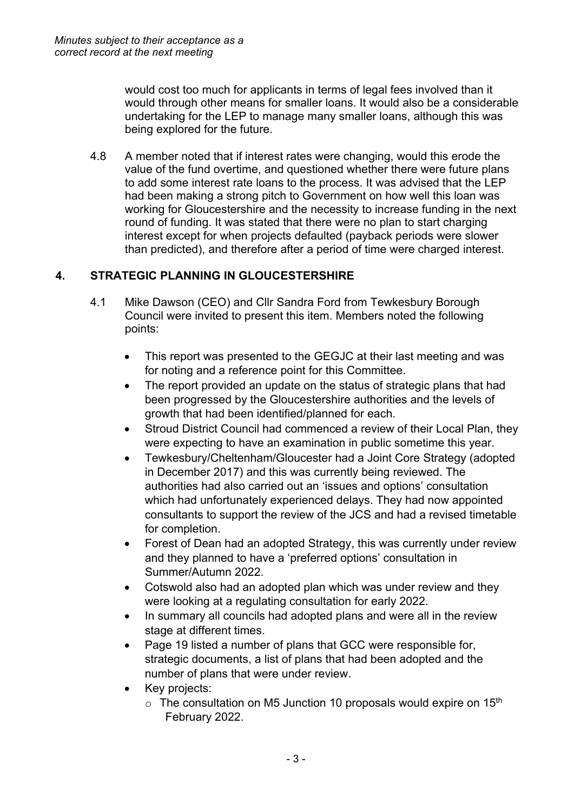would cost too much for applicants in terms of legal fees involved than it would through other means for smaller loans. It would also be a considerable undertaking for the LEP to manage many smaller loans, although this was being explored for the future.

4.8 A member noted that if interest rates were changing, would this erode the value of the fund overtime, and questioned whether there were future plans to add some interest rate loans to the process. It was advised that the LEP had been making a strong pitch to Government on how well this loan was working for Gloucestershire and the necessity to increase funding in the next round of funding. It was stated that there were no plan to start charging interest except for when projects defaulted (payback periods were slower than predicted), and therefore after a period of time were charged interest.

# **4. STRATEGIC PLANNING IN GLOUCESTERSHIRE**

- 4.1 Mike Dawson (CEO) and Cllr Sandra Ford from Tewkesbury Borough Council were invited to present this item. Members noted the following points:
	- This report was presented to the GEGJC at their last meeting and was for noting and a reference point for this Committee.
	- The report provided an update on the status of strategic plans that had been progressed by the Gloucestershire authorities and the levels of growth that had been identified/planned for each.
	- Stroud District Council had commenced a review of their Local Plan, they were expecting to have an examination in public sometime this year.
	- Tewkesbury/Cheltenham/Gloucester had a Joint Core Strategy (adopted in December 2017) and this was currently being reviewed. The authorities had also carried out an 'issues and options' consultation which had unfortunately experienced delays. They had now appointed consultants to support the review of the JCS and had a revised timetable for completion.
	- Forest of Dean had an adopted Strategy, this was currently under review and they planned to have a 'preferred options' consultation in Summer/Autumn 2022.
	- Cotswold also had an adopted plan which was under review and they were looking at a regulating consultation for early 2022.
	- In summary all councils had adopted plans and were all in the review stage at different times.
	- Page 19 listed a number of plans that GCC were responsible for, strategic documents, a list of plans that had been adopted and the number of plans that were under review.
	- Key projects:
		- $\circ$  The consultation on M5 Junction 10 proposals would expire on 15<sup>th</sup> February 2022.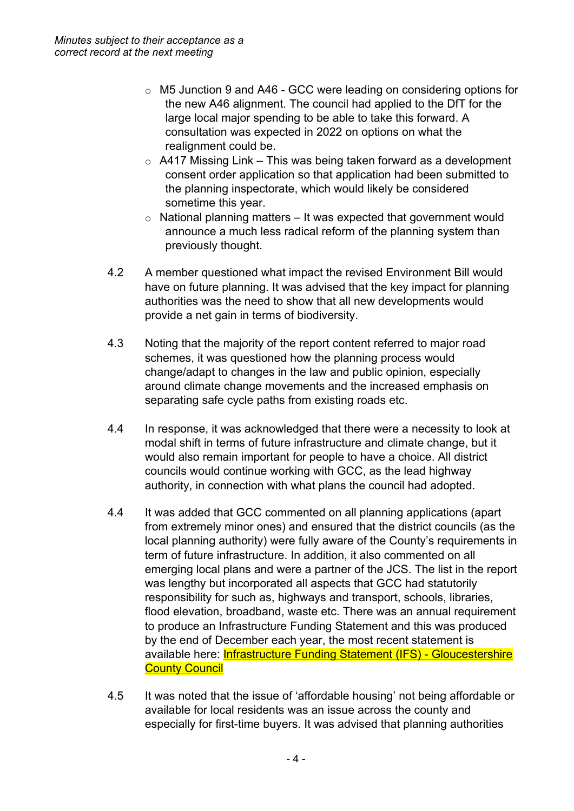- o M5 Junction 9 and A46 GCC were leading on considering options for the new A46 alignment. The council had applied to the DfT for the large local major spending to be able to take this forward. A consultation was expected in 2022 on options on what the realignment could be.
- $\circ$  A417 Missing Link This was being taken forward as a development consent order application so that application had been submitted to the planning inspectorate, which would likely be considered sometime this year.
- $\circ$  National planning matters It was expected that government would announce a much less radical reform of the planning system than previously thought.
- 4.2 A member questioned what impact the revised Environment Bill would have on future planning. It was advised that the key impact for planning authorities was the need to show that all new developments would provide a net gain in terms of biodiversity.
- 4.3 Noting that the majority of the report content referred to major road schemes, it was questioned how the planning process would change/adapt to changes in the law and public opinion, especially around climate change movements and the increased emphasis on separating safe cycle paths from existing roads etc.
- 4.4 In response, it was acknowledged that there were a necessity to look at modal shift in terms of future infrastructure and climate change, but it would also remain important for people to have a choice. All district councils would continue working with GCC, as the lead highway authority, in connection with what plans the council had adopted.
- 4.4 It was added that GCC commented on all planning applications (apart from extremely minor ones) and ensured that the district councils (as the local planning authority) were fully aware of the County's requirements in term of future infrastructure. In addition, it also commented on all emerging local plans and were a partner of the JCS. The list in the report was lengthy but incorporated all aspects that GCC had statutorily responsibility for such as, highways and transport, schools, libraries, flood elevation, broadband, waste etc. There was an annual requirement to produce an Infrastructure Funding Statement and this was produced by the end of December each year, the most recent statement is available here: Infrastructure Funding Statement (IFS) - [Gloucestershire](https://www.gloucestershire.gov.uk/planning-and-environment/planning-policy/infrastructure-funding-statement-ifs/) **County [Council](https://www.gloucestershire.gov.uk/planning-and-environment/planning-policy/infrastructure-funding-statement-ifs/)**
- 4.5 It was noted that the issue of 'affordable housing' not being affordable or available for local residents was an issue across the county and especially for first-time buyers. It was advised that planning authorities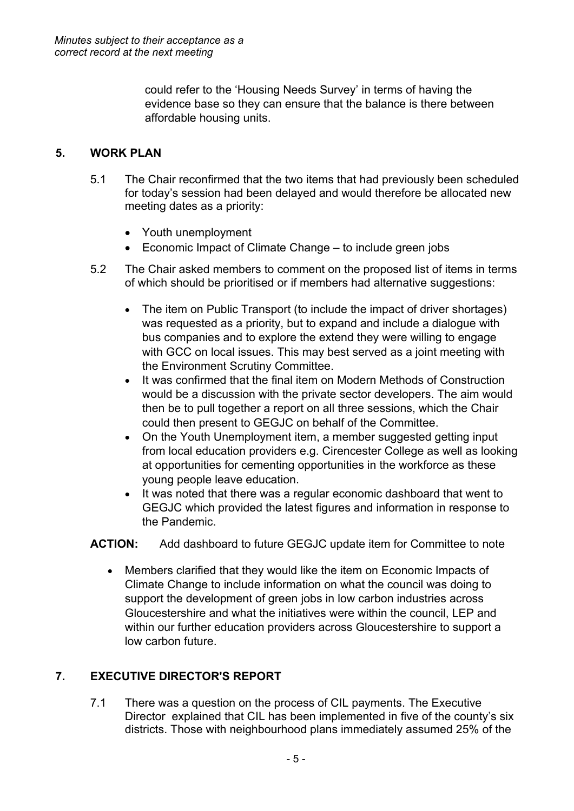could refer to the 'Housing Needs Survey' in terms of having the evidence base so they can ensure that the balance is there between affordable housing units.

## **5. WORK PLAN**

- 5.1 The Chair reconfirmed that the two items that had previously been scheduled for today's session had been delayed and would therefore be allocated new meeting dates as a priority:
	- Youth unemployment
	- Economic Impact of Climate Change to include green jobs
- 5.2 The Chair asked members to comment on the proposed list of items in terms of which should be prioritised or if members had alternative suggestions:
	- The item on Public Transport (to include the impact of driver shortages) was requested as a priority, but to expand and include a dialogue with bus companies and to explore the extend they were willing to engage with GCC on local issues. This may best served as a joint meeting with the Environment Scrutiny Committee.
	- It was confirmed that the final item on Modern Methods of Construction would be a discussion with the private sector developers. The aim would then be to pull together a report on all three sessions, which the Chair could then present to GEGJC on behalf of the Committee.
	- On the Youth Unemployment item, a member suggested getting input from local education providers e.g. Cirencester College as well as looking at opportunities for cementing opportunities in the workforce as these young people leave education.
	- It was noted that there was a regular economic dashboard that went to GEGJC which provided the latest figures and information in response to the Pandemic.

**ACTION:** Add dashboard to future GEGJC update item for Committee to note

 Members clarified that they would like the item on Economic Impacts of Climate Change to include information on what the council was doing to support the development of green jobs in low carbon industries across Gloucestershire and what the initiatives were within the council, LEP and within our further education providers across Gloucestershire to support a low carbon future.

# **7. EXECUTIVE DIRECTOR'S REPORT**

7.1 There was a question on the process of CIL payments. The Executive Director explained that CIL has been implemented in five of the county's six districts. Those with neighbourhood plans immediately assumed 25% of the